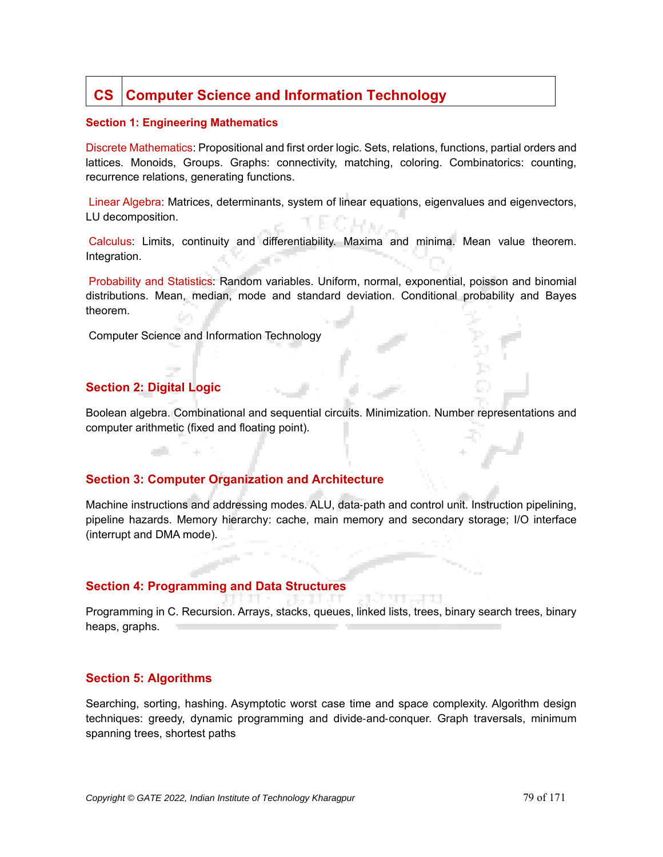# **CS Computer Science and Information Technology**

#### **Section 1: Engineering Mathematics**

Discrete Mathematics: Propositional and first order logic. Sets, relations, functions, partial orders and lattices. Monoids, Groups. Graphs: connectivity, matching, coloring. Combinatorics: counting, recurrence relations, generating functions.

Linear Algebra: Matrices, determinants, system of linear equations, eigenvalues and eigenvectors, LU decomposition.

Calculus: Limits, continuity and differentiability. Maxima and minima. Mean value theorem. Integration.

Probability and Statistics: Random variables. Uniform, normal, exponential, poisson and binomial distributions. Mean, median, mode and standard deviation. Conditional probability and Bayes theorem.

Computer Science and Information Technology

# **Section 2: Digital Logic**

a di

Boolean algebra. Combinational and sequential circuits. Minimization. Number representations and computer arithmetic (fixed and floating point).

## **Section 3: Computer Organization and Architecture**

Machine instructions and addressing modes. ALU, data-path and control unit. Instruction pipelining, pipeline hazards. Memory hierarchy: cache, main memory and secondary storage; I/O interface (interrupt and DMA mode).

## **Section 4: Programming and Data Structures**

Programming in C. Recursion. Arrays, stacks, queues, linked lists, trees, binary search trees, binary heaps, graphs.

## **Section 5: Algorithms**

Searching, sorting, hashing. Asymptotic worst case time and space complexity. Algorithm design techniques: greedy, dynamic programming and divide-and-conquer. Graph traversals, minimum spanning trees, shortest paths